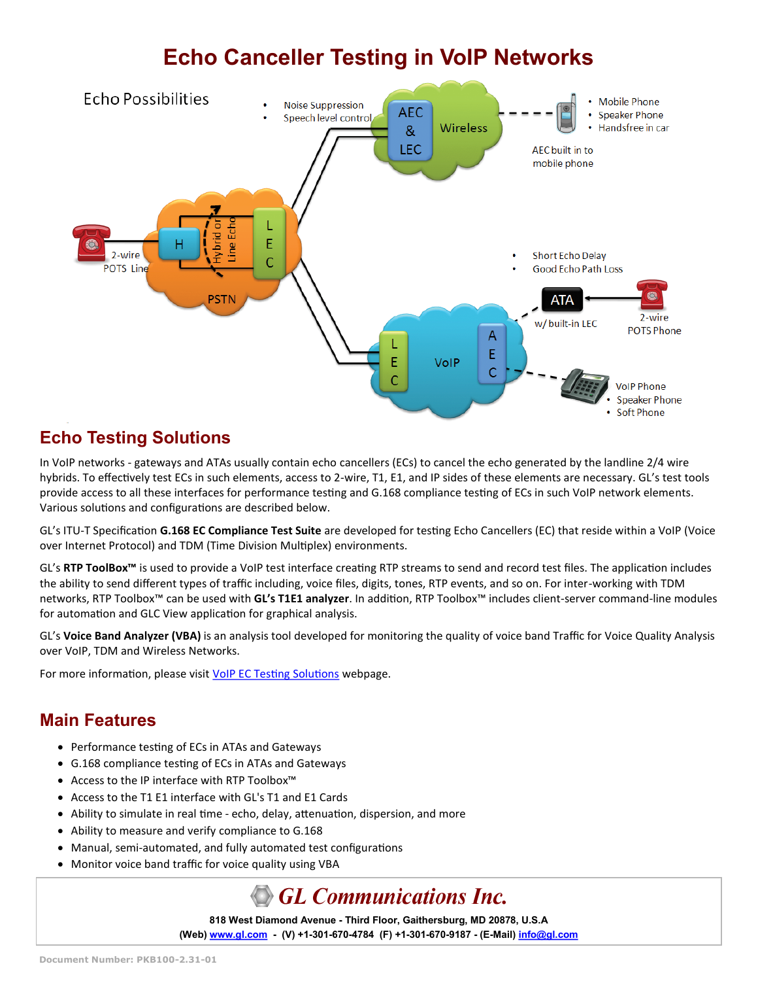# **Echo Canceller Testing in VoIP Networks**



## **Echo Testing Solutions**

In VoIP networks - gateways and ATAs usually contain echo cancellers (ECs) to cancel the echo generated by the landline 2/4 wire hybrids. To effectively test ECs in such elements, access to 2-wire, T1, E1, and IP sides of these elements are necessary. GL's test tools provide access to all these interfaces for performance testing and G.168 compliance testing of ECs in such VoIP network elements. Various solutions and configurations are described below.

GL's ITU-T Specification **G.168 EC Compliance Test Suite** are developed for testing Echo Cancellers (EC) that reside within a VoIP (Voice over Internet Protocol) and TDM (Time Division Multiplex) environments.

GL's **RTP ToolBox™** is used to provide a VoIP test interface creating RTP streams to send and record test files. The application includes the ability to send different types of traffic including, voice files, digits, tones, RTP events, and so on. For inter-working with TDM networks, RTP Toolbox™ can be used with **GL's T1E1 analyzer**. In addition, RTP Toolbox™ includes client-server command-line modules for automation and GLC View application for graphical analysis.

GL's **Voice Band Analyzer (VBA)** is an analysis tool developed for monitoring the quality of voice band Traffic for Voice Quality Analysis over VoIP, TDM and Wireless Networks.

For more information, please visit [VoIP EC Testing Solutions](https://www.gl.com/test-echo-cancellers.html#voip) webpage.

#### **Main Features**

- Performance testing of ECs in ATAs and Gateways
- G.168 compliance testing of ECs in ATAs and Gateways
- Access to the IP interface with RTP Toolbox™
- Access to the T1 E1 interface with GL's T1 and E1 Cards
- Ability to simulate in real time echo, delay, attenuation, dispersion, and more
- Ability to measure and verify compliance to G.168
- Manual, semi-automated, and fully automated test configurations
- Monitor voice band traffic for voice quality using VBA

## **GL Communications Inc.**

**818 West Diamond Avenue - Third Floor, Gaithersburg, MD 20878, U.S.A** (Web) [www.gl.com](https://www.gl.com) - (V) +1-301-670-4784 (F) +1-301-670-9187 - (E-Mail) [info@gl.com](https://www.gl.com/inforequestform.php)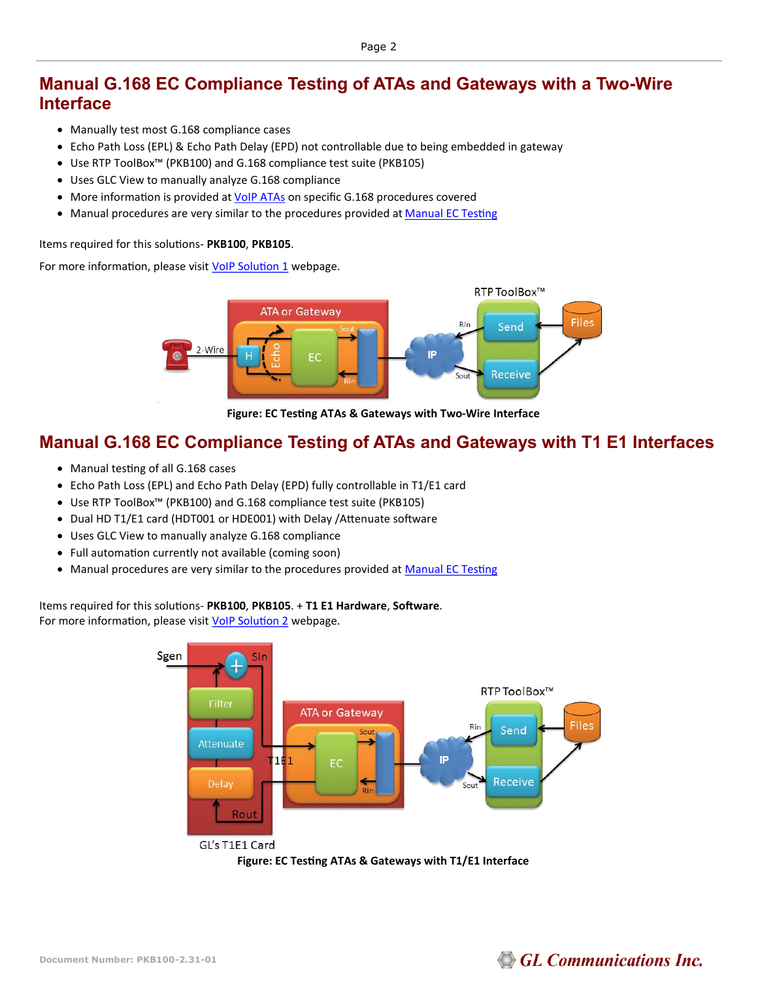#### **Manual G.168 EC Compliance Testing of ATAs and Gateways with a Two-Wire Interface**

- Manually test most G.168 compliance cases
- Echo Path Loss (EPL) & Echo Path Delay (EPD) not controllable due to being embedded in gateway
- Use RTP ToolBox™ (PKB100) and G.168 compliance test suite (PKB105)
- Uses GLC View to manually analyze G.168 compliance
- More information is provided at [VoIP ATAs](https://www.gl.com/VoIPata.html) on specific G.168 procedures covered
- • [Ma](https://www.gl.com/manualectesting.html)nual procedures are very similar to the procedures provided at Ma[nual EC Testing](http://www.gl.com/manualectesting.html)

Items required for this solutions- **PKB100**, **PKB105**.

For more information, please visit **VoIP Solution 1** webpage.



**Figure: EC Testing ATAs & Gateways with Two-Wire Interface**

#### **Manual G.168 EC Compliance Testing of ATAs and Gateways with T1 E1 Interfaces**

- Manual testing of all G.168 cases
- Echo Path Loss (EPL) and Echo Path Delay (EPD) fully controllable in T1/E1 card
- Use RTP ToolBox™ (PKB100) and G.168 compliance test suite (PKB105)
- Dual HD T1/E1 card (HDT001 or HDE001) with Delay /Attenuate software
- Uses GLC View to manually analyze G.168 compliance
- Full automation currently not available (coming soon)
- • [Ma](https://www.gl.com/manualectesting.html)nual procedures are very similar to the procedures provided at Ma[nual EC Testing](http://www.gl.com/manualectesting.html)

Items required for this solutions- **PKB100**, **PKB105**. + **T1 E1 Hardware**, **Software**.

For more information, please visit [VoIP Solution 2](https://www.gl.com/voipecsolution2.html) webpage.





## **GL Communications Inc.**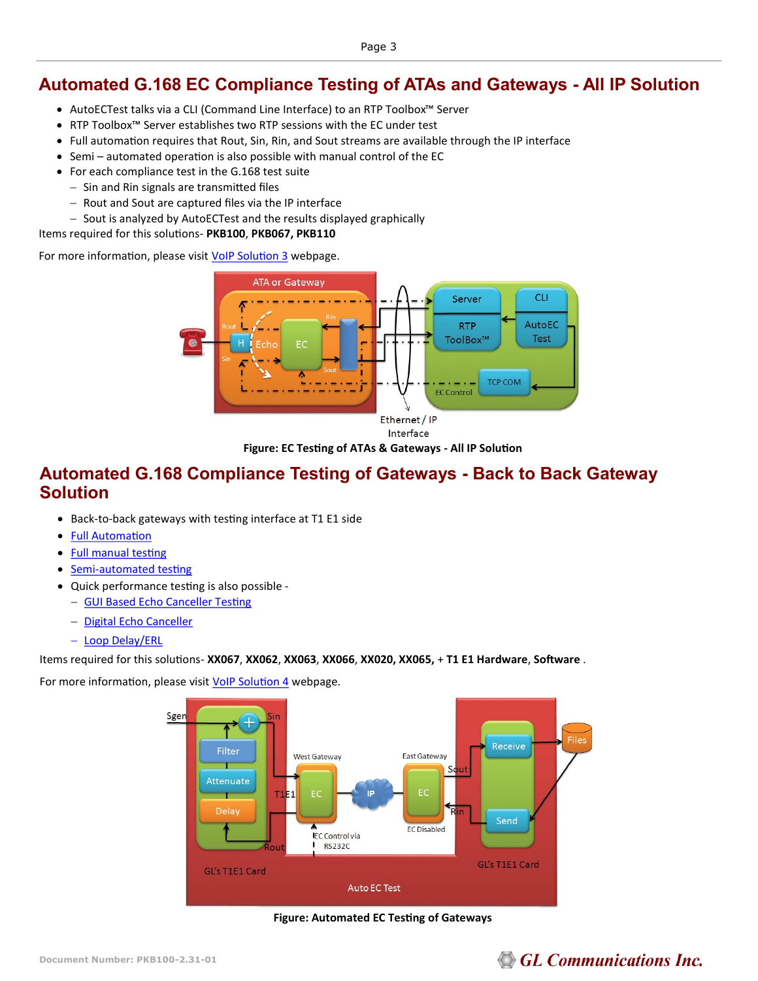#### **Automated G.168 EC Compliance Testing of ATAs and Gateways - All IP Solution**

- AutoECTest talks via a CLI (Command Line Interface) to an RTP Toolbox™ Server
- RTP Toolbox™ Server establishes two RTP sessions with the EC under test
- Full automation requires that Rout, Sin, Rin, and Sout streams are available through the IP interface
- Semi automated operation is also possible with manual control of the EC
- For each compliance test in the G.168 test suite
	- − Sin and Rin signals are transmitted files
	- − Rout and Sout are captured files via the IP interface
	- − Sout is analyzed by AutoECTest and the results displayed graphically

Items required for this solutions- **PKB100**, **PKB067, PKB110**

For more information, please visit [VoIP Solution 3](https://www.gl.com/voipecsolution3.html) webpage.



**Figure: EC Testing of ATAs & Gateways - All IP Solution**

#### **Automated G.168 Compliance Testing of Gateways - Back to Back Gateway Solution**

- Back-to-back gateways with testing interface at T1 E1 side
- [Full Automation](https://www.gl.com/SA_echocancellertesting.html)
- [Full manual testing](https://www.gl.com/manualectesting.html)
- Semi-[automated testing](https://www.gl.com/echocancellertesting.html)
- Quick performance testing is also possible
	- − [GUI Based Echo Canceller Testing](https://www.gl.com/GUI_echocancellertesting.html)
	- − [Digital Echo Canceller](https://www.gl.com/digitalechocanceller.html)
	- − [Loop Delay/ERL](https://www.gl.com/loopdelayerl.html)

Items required for this solutions- **XX067**, **XX062**, **XX063**, **XX066**, **XX020, XX065,** + **T1 E1 Hardware**, **Software** .

For more information, please visit **[VoIP Solution 4](https://www.gl.com/voipecsolution4.html)** webpage.



**Figure: Automated EC Testing of Gateways**

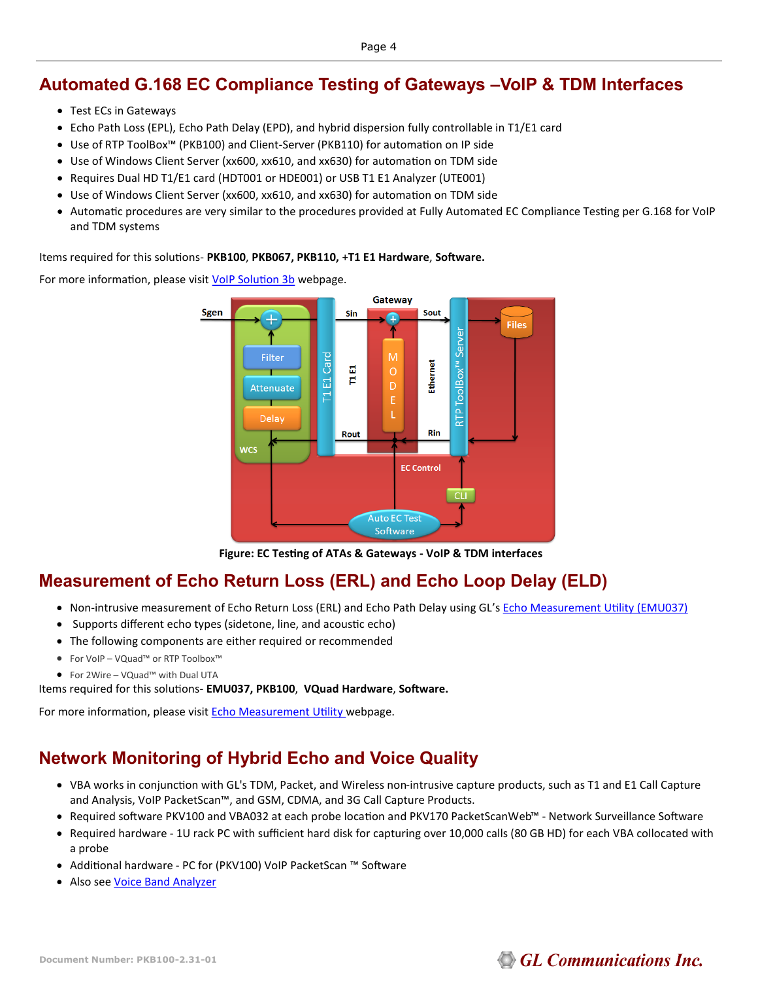#### **Automated G.168 EC Compliance Testing of Gateways –VoIP & TDM Interfaces**

- Test ECs in Gateways
- Echo Path Loss (EPL), Echo Path Delay (EPD), and hybrid dispersion fully controllable in T1/E1 card
- Use of RTP ToolBox™ (PKB100) and Client-Server (PKB110) for automation on IP side
- Use of Windows Client Server (xx600, xx610, and xx630) for automation on TDM side
- Requires Dual HD T1/E1 card (HDT001 or HDE001) or USB T1 E1 Analyzer (UTE001)
- Use of Windows Client Server (xx600, xx610, and xx630) for automation on TDM side
- Automatic procedures are very similar to the procedures provided at Fully Automated EC Compliance Testing per G.168 for VoIP and TDM systems

Items required for this solutions- **PKB100**, **PKB067, PKB110,** +**T1 E1 Hardware**, **Software.** 

For more information, please visit [VoIP Solution 3b](https://www.gl.com/voipecsolution3b.html) webpage.



**Figure: EC Testing of ATAs & Gateways - VoIP & TDM interfaces**

## **[Measurement of Echo Return Loss \(ERL\) and Echo Loop Delay \(](http://www.gl.com/loopdelayerl.html)ELD)**

- Non-intrusive measurement of Echo Return Loss (ERL) and Echo Path Delay using GL's [Echo Measurement Utility \(EMU037\)](https://www.gl.com/echo-measurement-utility.html)
- Supports different echo types (sidetone, line, and acoustic echo)
- The following components are either required or recommended
- For VoIP VQuad™ or RTP Toolbox™
- For 2Wire VQuad™ with Dual UTA
- Items required for this solutions- **EMU037, PKB100**, **VQuad Hardware**, **Software.**

For more information, please visit **Echo Measurement Utility** webpage.

## **Network Monitoring of Hybrid Echo and Voice Quality**

- VBA works in conjunction with GL's TDM, Packet, and Wireless non-intrusive capture products, such as T1 and E1 Call Capture and Analysis, VoIP PacketScan™, and GSM, CDMA, and 3G Call Capture Products.
- Required software PKV100 and VBA032 at each probe location and PKV170 PacketScanWeb™ Network Surveillance Software
- Required hardware 1U rack PC with sufficient hard disk for capturing over 10,000 calls (80 GB HD) for each VBA collocated with a probe
- Additional hardware PC for (PKV100) VoIP PacketScan ™ Software
- Also see [Voice Band Analyzer](https://www.gl.com/voice-band-analysis.html)

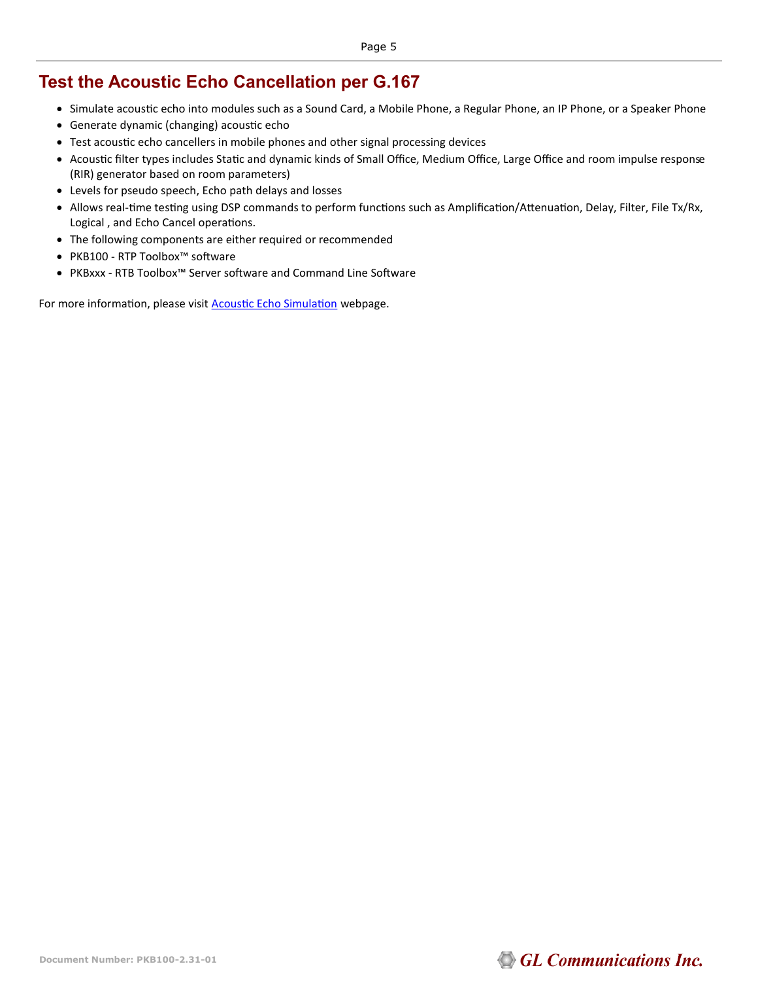#### **Test the Acoustic Echo Cancellation per G.167**

- Simulate acoustic echo into modules such as a Sound Card, a Mobile Phone, a Regular Phone, an IP Phone, or a Speaker Phone
- Generate dynamic (changing) acoustic echo
- Test acoustic echo cancellers in mobile phones and other signal processing devices
- Acoustic filter types includes Static and dynamic kinds of Small Office, Medium Office, Large Office and room impulse response (RIR) generator based on room parameters)
- Levels for pseudo speech, Echo path delays and losses
- Allows real-time testing using DSP commands to perform functions such as Amplification/Attenuation, Delay, Filter, File Tx/Rx, Logical , and Echo Cancel operations.
- The following components are either required or recommended
- PKB100 RTP Toolbox™ software
- PKBxxx RTB Toolbox™ Server software and Command Line Software

For more information, please visit **[Acoustic Echo Simulation](https://www.gl.com/acousticechosimulation.html)** webpage.